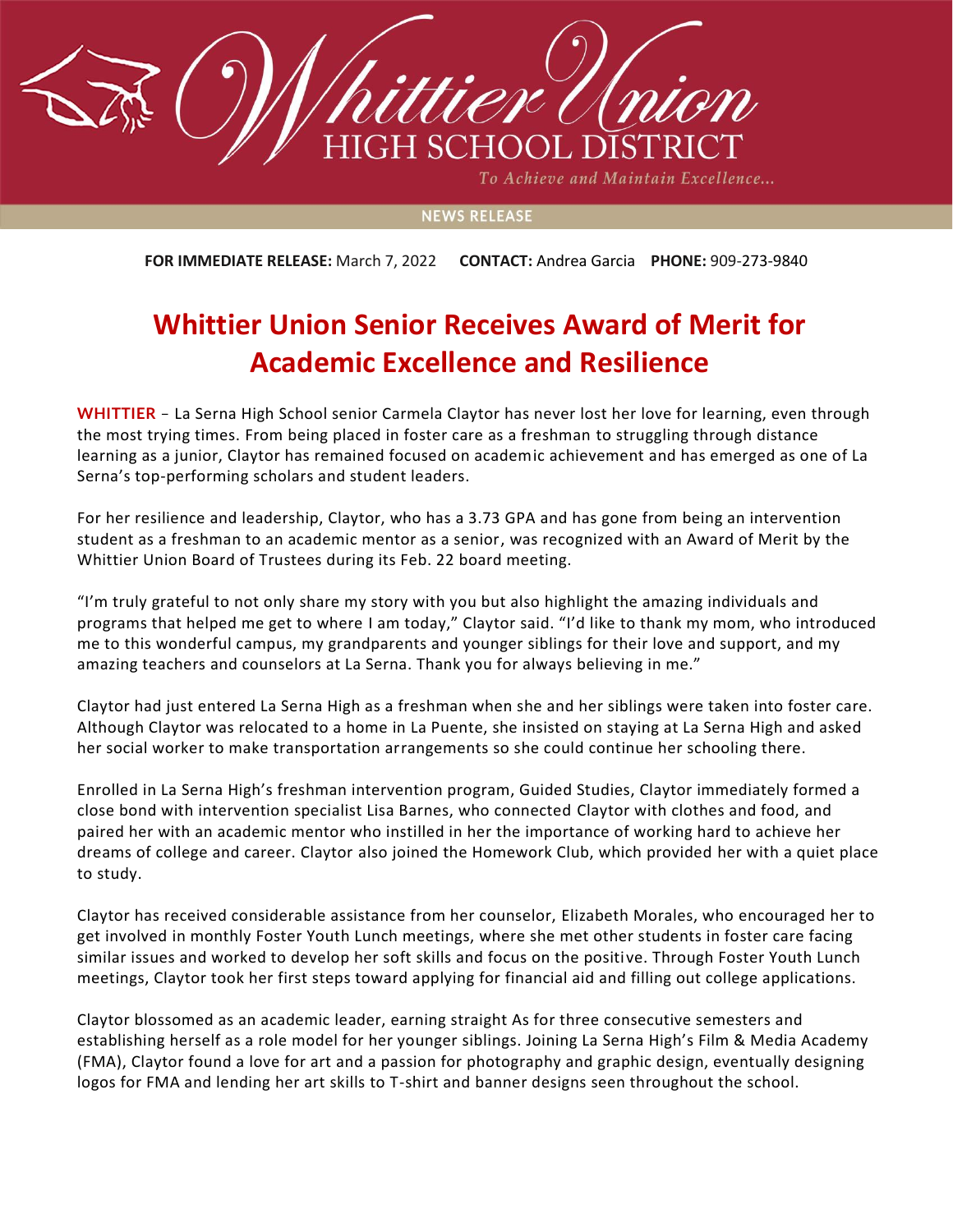

To Achieve and Maintain Excellence...

## **NEWS RELEASE**

**FOR IMMEDIATE RELEASE:** March 7, 2022 **CONTACT:** Andrea Garcia **PHONE:** 909-273-9840

## **Whittier Union Senior Receives Award of Merit for Academic Excellence and Resilience**

**WHITTIER** – La Serna High School senior Carmela Claytor has never lost her love for learning, even through the most trying times. From being placed in foster care as a freshman to struggling through distance learning as a junior, Claytor has remained focused on academic achievement and has emerged as one of La Serna's top-performing scholars and student leaders.

For her resilience and leadership, Claytor, who has a 3.73 GPA and has gone from being an intervention student as a freshman to an academic mentor as a senior, was recognized with an Award of Merit by the Whittier Union Board of Trustees during its Feb. 22 board meeting.

"I'm truly grateful to not only share my story with you but also highlight the amazing individuals and programs that helped me get to where I am today," Claytor said. "I'd like to thank my mom, who introduced me to this wonderful campus, my grandparents and younger siblings for their love and support, and my amazing teachers and counselors at La Serna. Thank you for always believing in me."

Claytor had just entered La Serna High as a freshman when she and her siblings were taken into foster care. Although Claytor was relocated to a home in La Puente, she insisted on staying at La Serna High and asked her social worker to make transportation arrangements so she could continue her schooling there.

Enrolled in La Serna High's freshman intervention program, Guided Studies, Claytor immediately formed a close bond with intervention specialist Lisa Barnes, who connected Claytor with clothes and food, and paired her with an academic mentor who instilled in her the importance of working hard to achieve her dreams of college and career. Claytor also joined the Homework Club, which provided her with a quiet place to study.

Claytor has received considerable assistance from her counselor, Elizabeth Morales, who encouraged her to get involved in monthly Foster Youth Lunch meetings, where she met other students in foster care facing similar issues and worked to develop her soft skills and focus on the positive. Through Foster Youth Lunch meetings, Claytor took her first steps toward applying for financial aid and filling out college applications.

Claytor blossomed as an academic leader, earning straight As for three consecutive semesters and establishing herself as a role model for her younger siblings. Joining La Serna High's Film & Media Academy (FMA), Claytor found a love for art and a passion for photography and graphic design, eventually designing logos for FMA and lending her art skills to T-shirt and banner designs seen throughout the school.